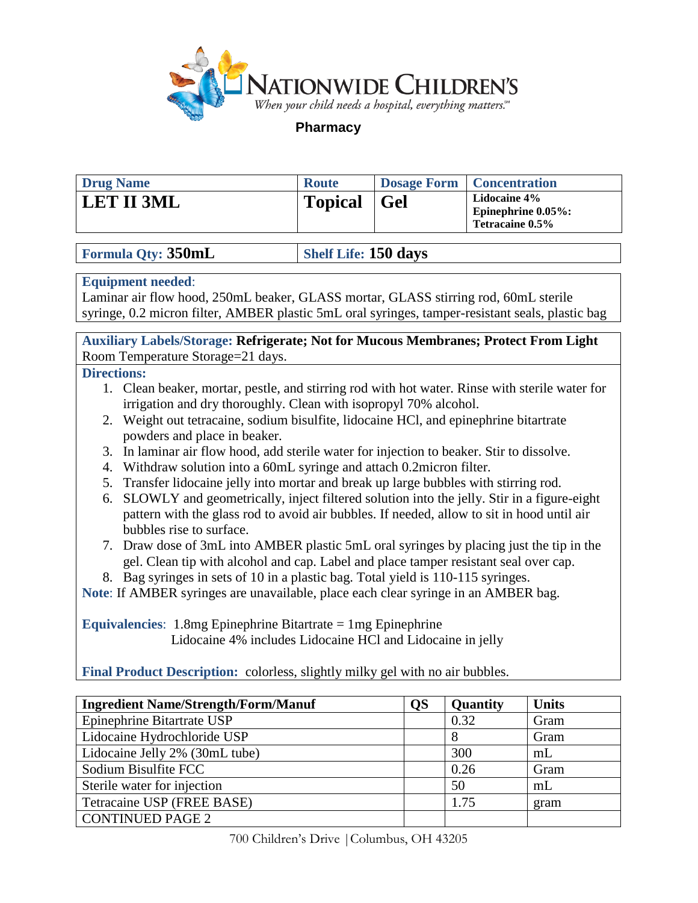

**Pharmacy**

| <b>Drug Name</b>  | <b>Route</b>       | Dosage Form   Concentration                                      |
|-------------------|--------------------|------------------------------------------------------------------|
| <b>LET II 3ML</b> | <b>Topical</b> Gel | <b>Lidocaine 4%</b><br>Epinephrine $0.05\%$ :<br>Tetracaine 0.5% |

# **Formula Qty:** 350mL **Shelf Life:** 150 days

### **Equipment needed**:

Laminar air flow hood, 250mL beaker, GLASS mortar, GLASS stirring rod, 60mL sterile syringe, 0.2 micron filter, AMBER plastic 5mL oral syringes, tamper-resistant seals, plastic bag

**Auxiliary Labels/Storage: Refrigerate; Not for Mucous Membranes; Protect From Light** Room Temperature Storage=21 days.

# **Directions:**

- 1. Clean beaker, mortar, pestle, and stirring rod with hot water. Rinse with sterile water for irrigation and dry thoroughly. Clean with isopropyl 70% alcohol.
- 2. Weight out tetracaine, sodium bisulfite, lidocaine HCl, and epinephrine bitartrate powders and place in beaker.
- 3. In laminar air flow hood, add sterile water for injection to beaker. Stir to dissolve.
- 4. Withdraw solution into a 60mL syringe and attach 0.2micron filter.
- 5. Transfer lidocaine jelly into mortar and break up large bubbles with stirring rod.
- 6. SLOWLY and geometrically, inject filtered solution into the jelly. Stir in a figure-eight pattern with the glass rod to avoid air bubbles. If needed, allow to sit in hood until air bubbles rise to surface.
- 7. Draw dose of 3mL into AMBER plastic 5mL oral syringes by placing just the tip in the gel. Clean tip with alcohol and cap. Label and place tamper resistant seal over cap.
- 8. Bag syringes in sets of 10 in a plastic bag. Total yield is 110-115 syringes.

**Note**: If AMBER syringes are unavailable, place each clear syringe in an AMBER bag.

**Equivalencies**: 1.8mg Epinephrine Bitartrate = 1mg Epinephrine Lidocaine 4% includes Lidocaine HCl and Lidocaine in jelly

**Final Product Description:** colorless, slightly milky gel with no air bubbles.

| <b>Ingredient Name/Strength/Form/Manuf</b> | <b>QS</b> | Quantity | <b>Units</b>   |
|--------------------------------------------|-----------|----------|----------------|
| Epinephrine Bitartrate USP                 |           | 0.32     | Gram           |
| Lidocaine Hydrochloride USP                |           |          | Gram           |
| Lidocaine Jelly 2% (30mL tube)             |           | 300      | m <sub>L</sub> |
| Sodium Bisulfite FCC                       |           | 0.26     | Gram           |
| Sterile water for injection                |           | 50       | m <sub>L</sub> |
| Tetracaine USP (FREE BASE)                 |           | 1.75     | gram           |
| <b>CONTINUED PAGE 2</b>                    |           |          |                |